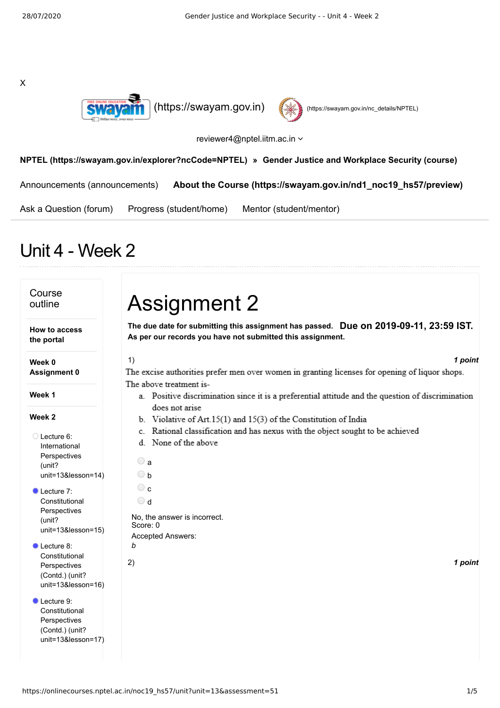X





## reviewer4@nptel.iitm.ac.in  $\sim$

## **[NPTEL \(https://swayam.gov.in/explorer?ncCode=NPTEL\)](https://swayam.gov.in/explorer?ncCode=NPTEL) » [Gender Justice and Workplace Security \(course\)](https://onlinecourses.nptel.ac.in/noc19_hs57/course)**

[Announcements \(announcements\)](https://onlinecourses.nptel.ac.in/noc19_hs57/announcements) **[About the Course \(https://swayam.gov.in/nd1\\_noc19\\_hs57/preview\)](https://swayam.gov.in/nd1_noc19_hs57/preview)**

[Ask a Question \(forum\)](https://onlinecourses.nptel.ac.in/noc19_hs57/forum) [Progress \(student/home\)](https://onlinecourses.nptel.ac.in/noc19_hs57/student/home) [Mentor \(student/mentor\)](https://onlinecourses.nptel.ac.in/noc19_hs57/student/mentor)

## Unit 4 - Week 2

## Course outline

**How to access the portal**

**Week 0 Assignment 0**

**Week 1**

## **Week 2**

- Lecture 6: International **Perspectives** (unit? [unit=13&lesson=14\)](https://onlinecourses.nptel.ac.in/noc19_hs57/unit?unit=13&lesson=14)
- Lecture 7: **Constitutional** Perspectives (unit? [unit=13&lesson=15\)](https://onlinecourses.nptel.ac.in/noc19_hs57/unit?unit=13&lesson=15)
- Lecture 8: Constitutional Perspectives (Contd.) (unit? [unit=13&lesson=16\)](https://onlinecourses.nptel.ac.in/noc19_hs57/unit?unit=13&lesson=16)

Lecture 9: Constitutional Perspectives (Contd.) (unit? [unit=13&lesson=17\)](https://onlinecourses.nptel.ac.in/noc19_hs57/unit?unit=13&lesson=17)

# Assignment 2

**Due on 2019-09-11, 23:59 IST. The due date for submitting this assignment has passed. As per our records you have not submitted this assignment.**

## 1) *1 point*

The excise authorities prefer men over women in granting licenses for opening of liquor shops. The above treatment is-

- a. Positive discrimination since it is a preferential attitude and the question of discrimination does not arise
- b. Violative of Art.  $15(1)$  and  $15(3)$  of the Constitution of India
- c. Rational classification and has nexus with the object sought to be achieved
- d. None of the above

| а                     |
|-----------------------|
| h                     |
| C                     |
| d                     |
| No, the a<br>Score: 0 |
| Accepted              |

nswer is incorrect. Answers:

*b*

2) *1 point*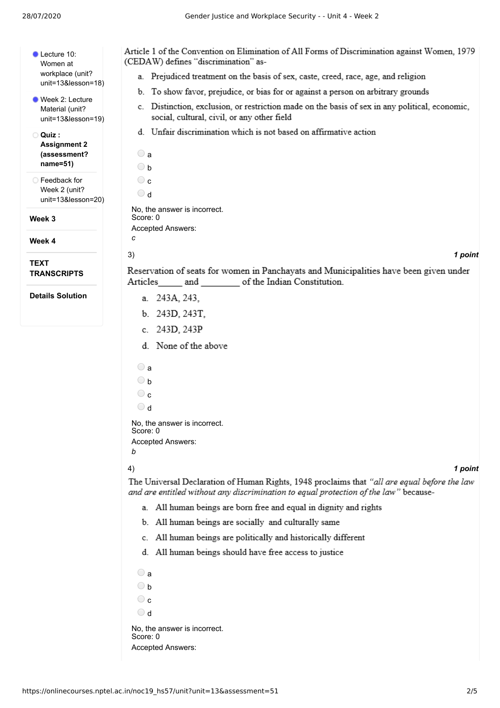| Lecture 10:<br>Women at<br>workplace (unit? |
|---------------------------------------------|
| unit=13&lesson=18)                          |
| ■ Week 2: Lecture<br>Material (unit?        |

[unit=13&lesson=19\)](https://onlinecourses.nptel.ac.in/noc19_hs57/unit?unit=13&lesson=19)

**Quiz : Assignment 2 [\(assessment?](https://onlinecourses.nptel.ac.in/noc19_hs57/assessment?name=51) name=51)**

Feedback for Week 2 (unit? [unit=13&lesson=20\)](https://onlinecourses.nptel.ac.in/noc19_hs57/unit?unit=13&lesson=20)

**Week 3**

**Week 4**

**TEXT TRANSCRIPTS**

**Details Solution**

| Article 1 of the Convention on Elimination of All Forms of Discrimination against Women, 1979<br>(CEDAW) defines "discrimination" as-                                                |
|--------------------------------------------------------------------------------------------------------------------------------------------------------------------------------------|
| a. Prejudiced treatment on the basis of sex, caste, creed, race, age, and religion                                                                                                   |
| b. To show favor, prejudice, or bias for or against a person on arbitrary grounds                                                                                                    |
| c. Distinction, exclusion, or restriction made on the basis of sex in any political, economic,<br>social, cultural, civil, or any other field                                        |
| d. Unfair discrimination which is not based on affirmative action                                                                                                                    |
| $\bigcirc$ a<br>$\bigcirc$ b<br>$\circ$ c                                                                                                                                            |
| $\circ$ d                                                                                                                                                                            |
| No. the answer is incorrect.<br>Score: 0<br>Accepted Answers:                                                                                                                        |
| с                                                                                                                                                                                    |
| 1 point<br>3)                                                                                                                                                                        |
| Reservation of seats for women in Panchayats and Municipalities have been given under<br>Articles_______ and ___________ of the Indian Constitution.                                 |
| a. 243A, 243,                                                                                                                                                                        |
| b. 243D, 243T,                                                                                                                                                                       |
| c. 243D, 243P                                                                                                                                                                        |
| d. None of the above                                                                                                                                                                 |
| $\bigcirc$ a                                                                                                                                                                         |
| $\bigcirc$ b                                                                                                                                                                         |
| $\circ$ c                                                                                                                                                                            |
| $\cup$ d                                                                                                                                                                             |
| No, the answer is incorrect.<br>Score: 0<br>Accepted Answers:<br>b                                                                                                                   |
| 4)<br>1 point                                                                                                                                                                        |
| The Universal Declaration of Human Rights, 1948 proclaims that "all are equal before the law<br>and are entitled without any discrimination to equal protection of the law" because- |
| All human beings are born free and equal in dignity and rights<br>a.                                                                                                                 |
| b. All human beings are socially and culturally same                                                                                                                                 |
|                                                                                                                                                                                      |

- c. All human beings are politically and historically different
- d. All human beings should have free access to justice

a  $\bigcirc$  b

 $\bigcirc$  c

d

No, the answer is incorrect. Score: 0 Accepted Answers: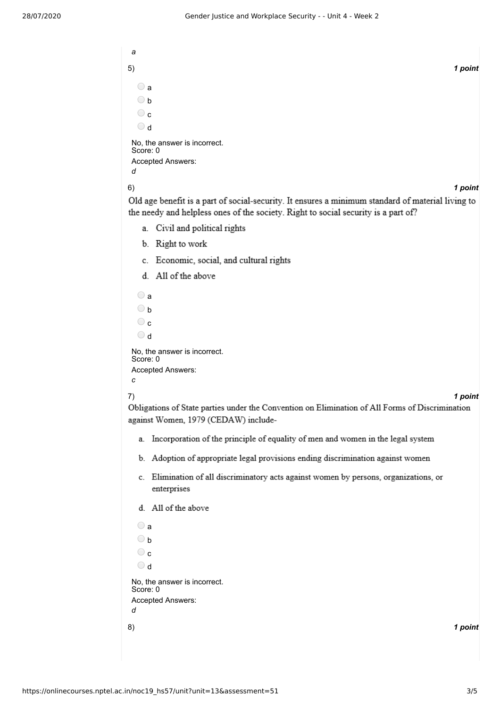*a* 5) *1 point*  $\bigcirc$  a b  $\circ$ d No, the answer is incorrect. Score: 0 Accepted Answers: *d* 6) *1 point* Old age benefit is a part of social-security. It ensures a minimum standard of material living to the needy and helpless ones of the society. Right to social security is a part of? a. Civil and political rights b. Right to work

- c. Economic, social, and cultural rights
- d. All of the above

```
\bigcirc a
  \bigcirc b
  \circ\bigcirc d
No, the answer is incorrect.
Score: 0
Accepted Answers:
c
```
7) *1 point*

Obligations of State parties under the Convention on Elimination of All Forms of Discrimination against Women, 1979 (CEDAW) include-

- a. Incorporation of the principle of equality of men and women in the legal system
- b. Adoption of appropriate legal provisions ending discrimination against women
- c. Elimination of all discriminatory acts against women by persons, organizations, or enterprises
- d. All of the above

```
8) 1 point
 a
 \bigcirc b
 \odot c
 \bigcirc d
No, the answer is incorrect.
Score: 0
Accepted Answers:
d
```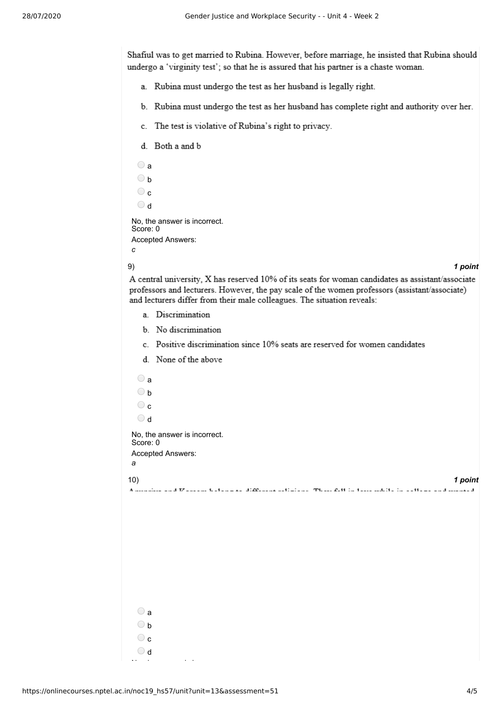Shafiul was to get married to Rubina. However, before marriage, he insisted that Rubina should undergo a 'virginity test'; so that he is assured that his partner is a chaste woman.

- a. Rubina must undergo the test as her husband is legally right.
- b. Rubina must undergo the test as her husband has complete right and authority over her.
- c. The test is violative of Rubina's right to privacy.
- d. Both a and b

```
\bigcirc a
  \bigcirc b
  \bigcircc 
  b O
No, the answer is incorrect.
Score: 0
Accepted Answers:
c
```
### 9) *1 point*

A central university, X has reserved 10% of its seats for woman candidates as assistant/associate professors and lecturers. However, the pay scale of the women professors (assistant/associate) and lecturers differ from their male colleagues. The situation reveals:

- a. Discrimination
- b. No discrimination
- c. Positive discrimination since 10% seats are reserved for women candidates
- d. None of the above

| $\bigcirc$ a                                                                                                       |         |
|--------------------------------------------------------------------------------------------------------------------|---------|
| $\bigcirc$ b                                                                                                       |         |
| $\circ$ c                                                                                                          |         |
| $\bigcirc$ d                                                                                                       |         |
| No, the answer is incorrect.<br>Score: 0<br>Accepted Answers:                                                      |         |
| a                                                                                                                  |         |
| 10)                                                                                                                | 1 point |
| A modelling and Warrante trafacture of difference anti-sides. These full in these colditions of these and modellid |         |
|                                                                                                                    |         |
|                                                                                                                    |         |
|                                                                                                                    |         |
|                                                                                                                    |         |
|                                                                                                                    |         |
|                                                                                                                    |         |
|                                                                                                                    |         |
| $\bigcirc$ a                                                                                                       |         |
| $\bigcirc$ b                                                                                                       |         |
| $\circ$                                                                                                            |         |
| $\bigcirc$ d<br>$\sim$ $\sim$<br>$\overline{\phantom{a}}$<br>$\sim$                                                |         |
|                                                                                                                    |         |